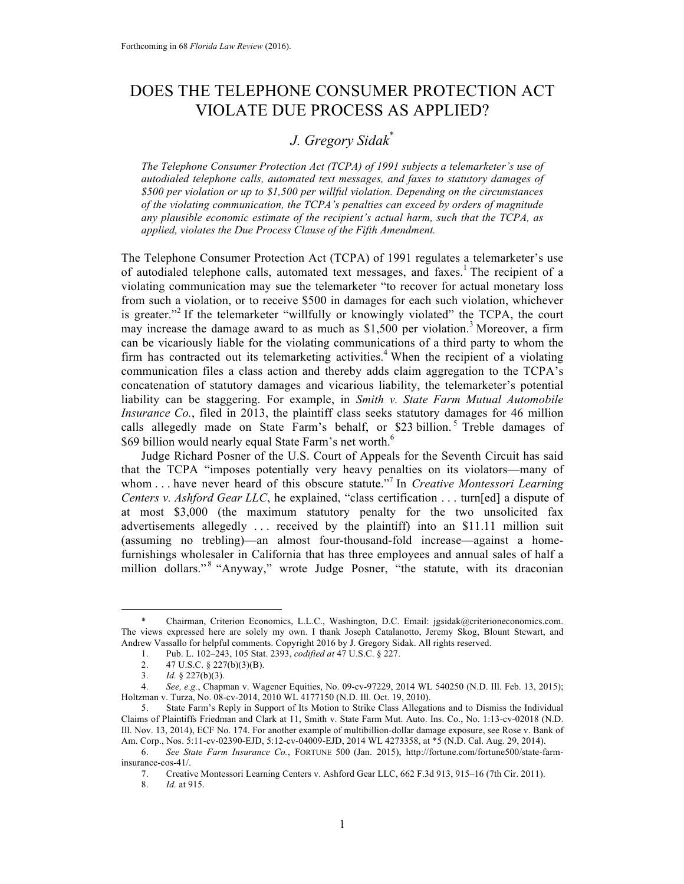## DOES THE TELEPHONE CONSUMER PROTECTION ACT VIOLATE DUE PROCESS AS APPLIED?

# *J. Gregory Sidak*\*

*The Telephone Consumer Protection Act (TCPA) of 1991 subjects a telemarketer's use of autodialed telephone calls, automated text messages, and faxes to statutory damages of \$500 per violation or up to \$1,500 per willful violation. Depending on the circumstances of the violating communication, the TCPA's penalties can exceed by orders of magnitude any plausible economic estimate of the recipient's actual harm, such that the TCPA, as applied, violates the Due Process Clause of the Fifth Amendment.*

The Telephone Consumer Protection Act (TCPA) of 1991 regulates a telemarketer's use of autodialed telephone calls, automated text messages, and faxes. <sup>1</sup> The recipient of a violating communication may sue the telemarketer "to recover for actual monetary loss from such a violation, or to receive \$500 in damages for each such violation, whichever is greater."<sup>2</sup> If the telemarketer "willfully or knowingly violated" the TCPA, the court may increase the damage award to as much as  $$1,500$  per violation.<sup>3</sup> Moreover, a firm can be vicariously liable for the violating communications of a third party to whom the firm has contracted out its telemarketing activities.<sup>4</sup> When the recipient of a violating communication files a class action and thereby adds claim aggregation to the TCPA's concatenation of statutory damages and vicarious liability, the telemarketer's potential liability can be staggering. For example, in *Smith v. State Farm Mutual Automobile Insurance Co.*, filed in 2013, the plaintiff class seeks statutory damages for 46 million calls allegedly made on State Farm's behalf, or \$23 billion.<sup>5</sup> Treble damages of \$69 billion would nearly equal State Farm's net worth.<sup>6</sup>

Judge Richard Posner of the U.S. Court of Appeals for the Seventh Circuit has said that the TCPA "imposes potentially very heavy penalties on its violators—many of whom . . . have never heard of this obscure statute." <sup>7</sup> In *Creative Montessori Learning Centers v. Ashford Gear LLC*, he explained, "class certification . . . turn[ed] a dispute of at most \$3,000 (the maximum statutory penalty for the two unsolicited fax advertisements allegedly . . . received by the plaintiff) into an \$11.11 million suit (assuming no trebling)—an almost four-thousand-fold increase—against a homefurnishings wholesaler in California that has three employees and annual sales of half a million dollars."<sup>8</sup> "Anyway," wrote Judge Posner, "the statute, with its draconian

 <sup>\*</sup> Chairman, Criterion Economics, L.L.C., Washington, D.C. Email: jgsidak@criterioneconomics.com. The views expressed here are solely my own. I thank Joseph Catalanotto, Jeremy Skog, Blount Stewart, and Andrew Vassallo for helpful comments. Copyright 2016 by J. Gregory Sidak. All rights reserved.

<sup>1.</sup> Pub. L. 102–243, 105 Stat. 2393, *codified at* 47 U.S.C. § 227.

<sup>2.</sup>  $47 \text{ U.S.C.} \& 227(b)(3)(B).$ <br>3. *Id.*  $\& 227(b)(3).$ 

*Id.* § 227(b)(3).

<sup>4.</sup> *See, e.g.*, Chapman v. Wagener Equities, No. 09-cv-97229, 2014 WL 540250 (N.D. Ill. Feb. 13, 2015); Holtzman v. Turza, No. 08-cv-2014, 2010 WL 4177150 (N.D. Ill. Oct. 19, 2010).

<sup>5.</sup> State Farm's Reply in Support of Its Motion to Strike Class Allegations and to Dismiss the Individual Claims of Plaintiffs Friedman and Clark at 11, Smith v. State Farm Mut. Auto. Ins. Co., No. 1:13-cv-02018 (N.D. Ill. Nov. 13, 2014), ECF No. 174. For another example of multibillion-dollar damage exposure, see Rose v. Bank of Am. Corp., Nos. 5:11-cv-02390-EJD, 5:12-cv-04009-EJD, 2014 WL 4273358, at \*5 (N.D. Cal. Aug. 29, 2014).

<sup>6.</sup> *See State Farm Insurance Co.*, FORTUNE 500 (Jan. 2015), http://fortune.com/fortune500/state-farminsurance-cos-41/.

<sup>7.</sup> Creative Montessori Learning Centers v. Ashford Gear LLC, 662 F.3d 913, 915–16 (7th Cir. 2011).<br>8.  $Id.$  at 915.

<sup>8.</sup> *Id.* at 915.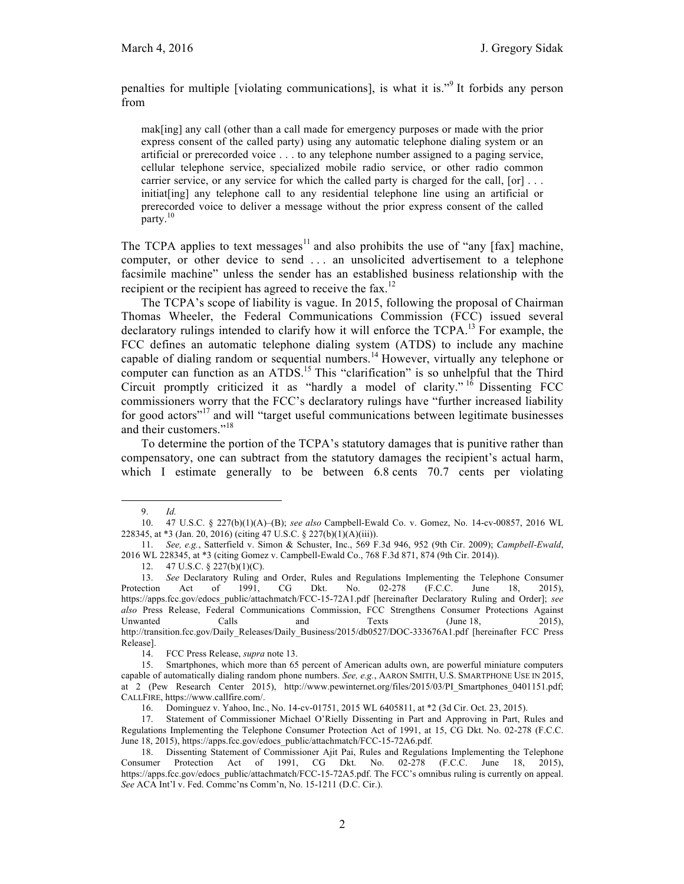penalties for multiple [violating communications], is what it is."<sup>9</sup> It forbids any person from

mak[ing] any call (other than a call made for emergency purposes or made with the prior express consent of the called party) using any automatic telephone dialing system or an artificial or prerecorded voice . . . to any telephone number assigned to a paging service, cellular telephone service, specialized mobile radio service, or other radio common carrier service, or any service for which the called party is charged for the call,  $[or] \dots$ initiat[ing] any telephone call to any residential telephone line using an artificial or prerecorded voice to deliver a message without the prior express consent of the called party.<sup>10</sup>

The TCPA applies to text messages<sup>11</sup> and also prohibits the use of "any [fax] machine, computer, or other device to send ... an unsolicited advertisement to a telephone facsimile machine" unless the sender has an established business relationship with the recipient or the recipient has agreed to receive the  $\text{fax}$ <sup>12</sup>

The TCPA's scope of liability is vague. In 2015, following the proposal of Chairman Thomas Wheeler, the Federal Communications Commission (FCC) issued several declaratory rulings intended to clarify how it will enforce the  $TCPA<sup>13</sup>$  For example, the FCC defines an automatic telephone dialing system (ATDS) to include any machine capable of dialing random or sequential numbers.<sup>14</sup> However, virtually any telephone or computer can function as an ATDS.<sup>15</sup> This "clarification" is so unhelpful that the Third Circuit promptly criticized it as "hardly a model of clarity." <sup>16</sup> Dissenting FCC commissioners worry that the FCC's declaratory rulings have "further increased liability for good actors"<sup>17</sup> and will "target useful communications between legitimate businesses and their customers."<sup>18</sup>

To determine the portion of the TCPA's statutory damages that is punitive rather than compensatory, one can subtract from the statutory damages the recipient's actual harm, which I estimate generally to be between 6.8 cents 70.7 cents per violating

 <sup>9.</sup> *Id.*

<sup>10.</sup> 47 U.S.C. § 227(b)(1)(A)–(B); *see also* Campbell-Ewald Co. v. Gomez, No. 14-cv-00857, 2016 WL 228345, at \*3 (Jan. 20, 2016) (citing 47 U.S.C. § 227(b)(1)(A)(iii)).

<sup>11.</sup> *See, e.g.*, Satterfield v. Simon & Schuster, Inc., 569 F.3d 946, 952 (9th Cir. 2009); *Campbell-Ewald*, 2016 WL 228345, at \*3 (citing Gomez v. Campbell-Ewald Co., 768 F.3d 871, 874 (9th Cir. 2014)).

<sup>12.</sup> 47 U.S.C. § 227(b)(1)(C).

<sup>13.</sup> *See* Declaratory Ruling and Order, Rules and Regulations Implementing the Telephone Consumer Protection Act of 1991, CG Dkt. No. 02-278 (F.C.C. June 18, 2015), https://apps.fcc.gov/edocs\_public/attachmatch/FCC-15-72A1.pdf [hereinafter Declaratory Ruling and Order]; *see also* Press Release, Federal Communications Commission, FCC Strengthens Consumer Protections Against Unwanted Calls and Texts (June 18, 2015), http://transition.fcc.gov/Daily\_Releases/Daily\_Business/2015/db0527/DOC-333676A1.pdf [hereinafter FCC Press Release].

<sup>14.</sup> FCC Press Release, *supra* note 13.

<sup>15.</sup> Smartphones, which more than 65 percent of American adults own, are powerful miniature computers capable of automatically dialing random phone numbers. *See, e.g.*, AARON SMITH, U.S. SMARTPHONE USE IN 2015, at 2 (Pew Research Center 2015), http://www.pewinternet.org/files/2015/03/PI Smartphones 0401151.pdf; CALLFIRE, https://www.callfire.com/.

<sup>16.</sup> Dominguez v. Yahoo, Inc., No. 14-cv-01751, 2015 WL 6405811, at \*2 (3d Cir. Oct. 23, 2015).

<sup>17.</sup> Statement of Commissioner Michael O'Rielly Dissenting in Part and Approving in Part, Rules and Regulations Implementing the Telephone Consumer Protection Act of 1991, at 15, CG Dkt. No. 02-278 (F.C.C. June 18, 2015), https://apps.fcc.gov/edocs\_public/attachmatch/FCC-15-72A6.pdf.

<sup>18.</sup> Dissenting Statement of Commissioner Ajit Pai, Rules and Regulations Implementing the Telephone Consumer Protection Act of 1991, CG Dkt. No. 02-278 (F.C.C. June 18, 2015), https://apps.fcc.gov/edocs\_public/attachmatch/FCC-15-72A5.pdf. The FCC's omnibus ruling is currently on appeal. *See* ACA Int'l v. Fed. Commc'ns Comm'n, No. 15-1211 (D.C. Cir.).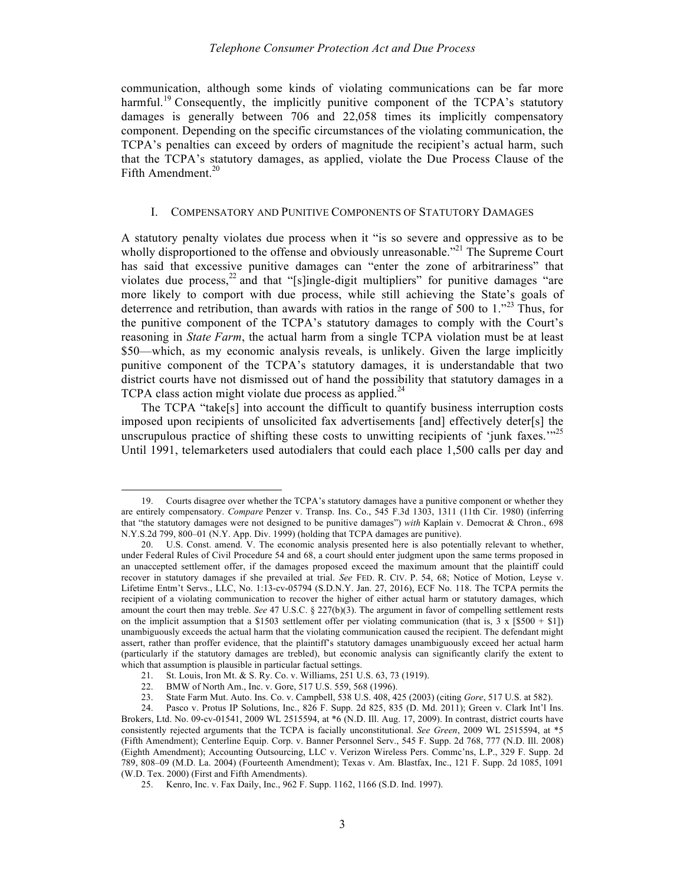communication, although some kinds of violating communications can be far more harmful.<sup>19</sup> Consequently, the implicitly punitive component of the TCPA's statutory damages is generally between 706 and 22,058 times its implicitly compensatory component. Depending on the specific circumstances of the violating communication, the TCPA's penalties can exceed by orders of magnitude the recipient's actual harm, such that the TCPA's statutory damages, as applied, violate the Due Process Clause of the Fifth Amendment.<sup>20</sup>

#### I. COMPENSATORY AND PUNITIVE COMPONENTS OF STATUTORY DAMAGES

A statutory penalty violates due process when it "is so severe and oppressive as to be wholly disproportioned to the offense and obviously unreasonable.<sup>"21</sup> The Supreme Court has said that excessive punitive damages can "enter the zone of arbitrariness" that violates due process,<sup>22</sup> and that "[s]ingle-digit multipliers" for punitive damages "are more likely to comport with due process, while still achieving the State's goals of deterrence and retribution, than awards with ratios in the range of 500 to  $1.^{123}$ . Thus, for the punitive component of the TCPA's statutory damages to comply with the Court's reasoning in *State Farm*, the actual harm from a single TCPA violation must be at least \$50—which, as my economic analysis reveals, is unlikely. Given the large implicitly punitive component of the TCPA's statutory damages, it is understandable that two district courts have not dismissed out of hand the possibility that statutory damages in a TCPA class action might violate due process as applied.<sup>24</sup>

The TCPA "take[s] into account the difficult to quantify business interruption costs imposed upon recipients of unsolicited fax advertisements [and] effectively deter[s] the unscrupulous practice of shifting these costs to unwitting recipients of 'junk faxes.'"<sup>25</sup> Until 1991, telemarketers used autodialers that could each place 1,500 calls per day and

 <sup>19.</sup> Courts disagree over whether the TCPA's statutory damages have a punitive component or whether they are entirely compensatory. *Compare* Penzer v. Transp. Ins. Co., 545 F.3d 1303, 1311 (11th Cir. 1980) (inferring that "the statutory damages were not designed to be punitive damages") *with* Kaplain v. Democrat & Chron., 698 N.Y.S.2d 799, 800–01 (N.Y. App. Div. 1999) (holding that TCPA damages are punitive).

<sup>20.</sup> U.S. Const. amend. V. The economic analysis presented here is also potentially relevant to whether, under Federal Rules of Civil Procedure 54 and 68, a court should enter judgment upon the same terms proposed in an unaccepted settlement offer, if the damages proposed exceed the maximum amount that the plaintiff could recover in statutory damages if she prevailed at trial. *See* FED. R. CIV. P. 54, 68; Notice of Motion, Leyse v. Lifetime Entm't Servs., LLC, No. 1:13-cv-05794 (S.D.N.Y. Jan. 27, 2016), ECF No. 118. The TCPA permits the recipient of a violating communication to recover the higher of either actual harm or statutory damages, which amount the court then may treble. *See* 47 U.S.C. § 227(b)(3). The argument in favor of compelling settlement rests on the implicit assumption that a \$1503 settlement offer per violating communication (that is, 3 x  $[$500 + $1]$ ) unambiguously exceeds the actual harm that the violating communication caused the recipient. The defendant might assert, rather than proffer evidence, that the plaintiff's statutory damages unambiguously exceed her actual harm (particularly if the statutory damages are trebled), but economic analysis can significantly clarify the extent to which that assumption is plausible in particular factual settings.

<sup>21.</sup> St. Louis, Iron Mt. & S. Ry. Co. v. Williams, 251 U.S. 63, 73 (1919).

<sup>22.</sup> BMW of North Am., Inc. v. Gore, 517 U.S. 559, 568 (1996).

<sup>23.</sup> State Farm Mut. Auto. Ins. Co. v. Campbell, 538 U.S. 408, 425 (2003) (citing *Gore*, 517 U.S. at 582).

<sup>24.</sup> Pasco v. Protus IP Solutions, Inc., 826 F. Supp. 2d 825, 835 (D. Md. 2011); Green v. Clark Int'l Ins. Brokers, Ltd. No. 09-cv-01541, 2009 WL 2515594, at \*6 (N.D. Ill. Aug. 17, 2009). In contrast, district courts have consistently rejected arguments that the TCPA is facially unconstitutional. *See Green*, 2009 WL 2515594, at \*5 (Fifth Amendment); Centerline Equip. Corp. v. Banner Personnel Serv., 545 F. Supp. 2d 768, 777 (N.D. Ill. 2008) (Eighth Amendment); Accounting Outsourcing, LLC v. Verizon Wireless Pers. Commc'ns, L.P., 329 F. Supp. 2d 789, 808–09 (M.D. La. 2004) (Fourteenth Amendment); Texas v. Am. Blastfax, Inc., 121 F. Supp. 2d 1085, 1091 (W.D. Tex. 2000) (First and Fifth Amendments).

<sup>25.</sup> Kenro, Inc. v. Fax Daily, Inc., 962 F. Supp. 1162, 1166 (S.D. Ind. 1997).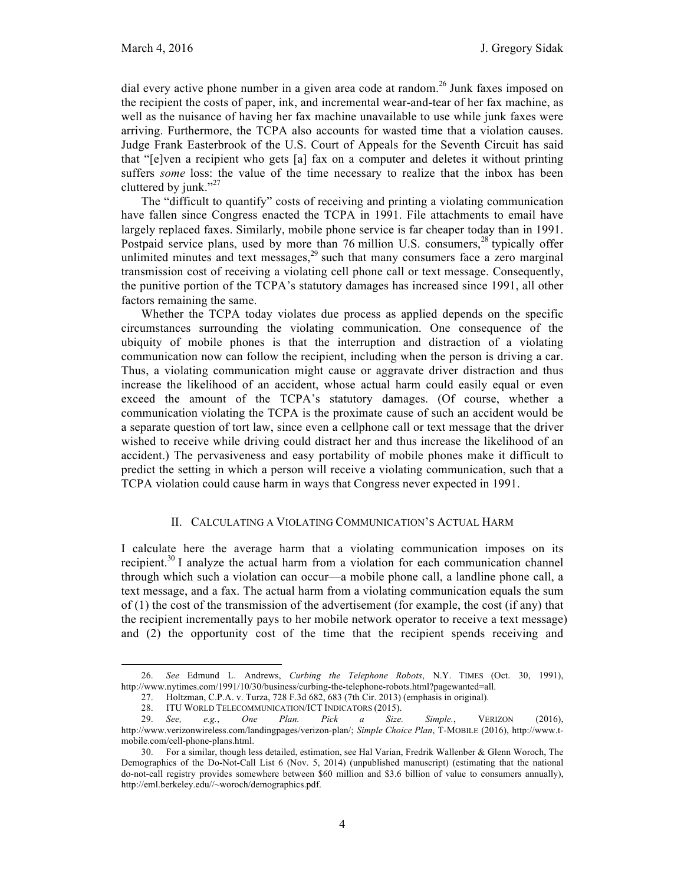dial every active phone number in a given area code at random.<sup>26</sup> Junk faxes imposed on the recipient the costs of paper, ink, and incremental wear-and-tear of her fax machine, as well as the nuisance of having her fax machine unavailable to use while junk faxes were arriving. Furthermore, the TCPA also accounts for wasted time that a violation causes. Judge Frank Easterbrook of the U.S. Court of Appeals for the Seventh Circuit has said that "[e]ven a recipient who gets [a] fax on a computer and deletes it without printing suffers *some* loss: the value of the time necessary to realize that the inbox has been cluttered by junk." $^{27}$ 

The "difficult to quantify" costs of receiving and printing a violating communication have fallen since Congress enacted the TCPA in 1991. File attachments to email have largely replaced faxes. Similarly, mobile phone service is far cheaper today than in 1991. Postpaid service plans, used by more than 76 million U.S. consumers, $28$  typically offer unlimited minutes and text messages,<sup>29</sup> such that many consumers face a zero marginal transmission cost of receiving a violating cell phone call or text message. Consequently, the punitive portion of the TCPA's statutory damages has increased since 1991, all other factors remaining the same.

Whether the TCPA today violates due process as applied depends on the specific circumstances surrounding the violating communication. One consequence of the ubiquity of mobile phones is that the interruption and distraction of a violating communication now can follow the recipient, including when the person is driving a car. Thus, a violating communication might cause or aggravate driver distraction and thus increase the likelihood of an accident, whose actual harm could easily equal or even exceed the amount of the TCPA's statutory damages. (Of course, whether a communication violating the TCPA is the proximate cause of such an accident would be a separate question of tort law, since even a cellphone call or text message that the driver wished to receive while driving could distract her and thus increase the likelihood of an accident.) The pervasiveness and easy portability of mobile phones make it difficult to predict the setting in which a person will receive a violating communication, such that a TCPA violation could cause harm in ways that Congress never expected in 1991.

### II. CALCULATING A VIOLATING COMMUNICATION'S ACTUAL HARM

I calculate here the average harm that a violating communication imposes on its recipient.<sup>30</sup> I analyze the actual harm from a violation for each communication channel through which such a violation can occur—a mobile phone call, a landline phone call, a text message, and a fax. The actual harm from a violating communication equals the sum of (1) the cost of the transmission of the advertisement (for example, the cost (if any) that the recipient incrementally pays to her mobile network operator to receive a text message) and (2) the opportunity cost of the time that the recipient spends receiving and

 <sup>26.</sup> *See* Edmund L. Andrews, *Curbing the Telephone Robots*, N.Y. TIMES (Oct. 30, 1991), http://www.nytimes.com/1991/10/30/business/curbing-the-telephone-robots.html?pagewanted=all.

<sup>27.</sup> Holtzman, C.P.A. v. Turza, 728 F.3d 682, 683 (7th Cir. 2013) (emphasis in original).

<sup>28.</sup> ITU WORLD TELECOMMUNICATION/ICT INDICATORS (2015).

<sup>29.</sup> *See, e.g.*, *One Plan. Pick a Size. Simple.*, VERIZON (2016), http://www.verizonwireless.com/landingpages/verizon-plan/; *Simple Choice Plan*, T-MOBILE (2016), http://www.tmobile.com/cell-phone-plans.html.

<sup>30.</sup> For a similar, though less detailed, estimation, see Hal Varian, Fredrik Wallenber & Glenn Woroch, The Demographics of the Do-Not-Call List 6 (Nov. 5, 2014) (unpublished manuscript) (estimating that the national do-not-call registry provides somewhere between \$60 million and \$3.6 billion of value to consumers annually), http://eml.berkeley.edu//~woroch/demographics.pdf.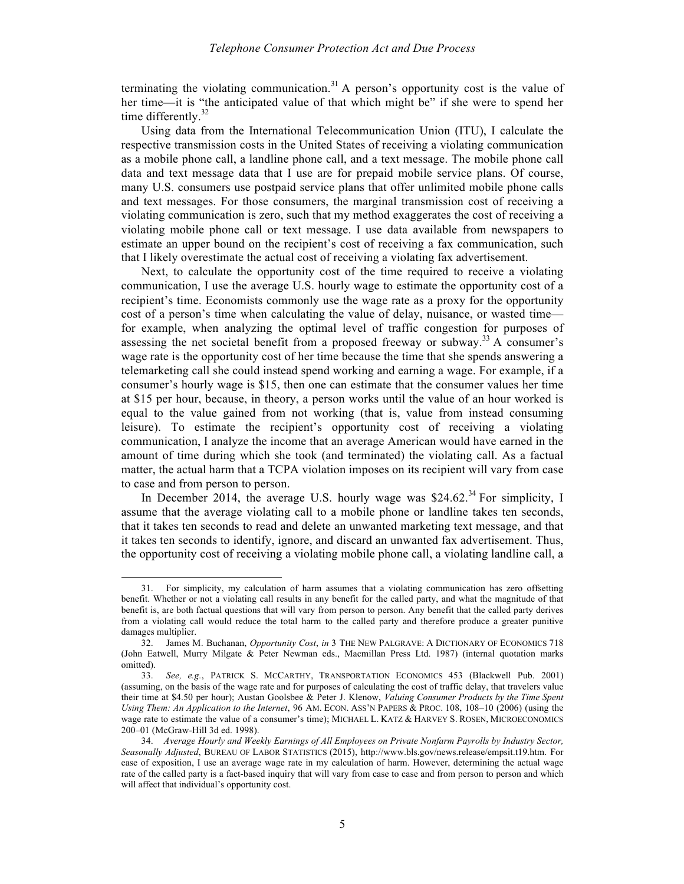terminating the violating communication.<sup>31</sup> A person's opportunity cost is the value of her time—it is "the anticipated value of that which might be" if she were to spend her time differently. $32$ 

Using data from the International Telecommunication Union (ITU), I calculate the respective transmission costs in the United States of receiving a violating communication as a mobile phone call, a landline phone call, and a text message. The mobile phone call data and text message data that I use are for prepaid mobile service plans. Of course, many U.S. consumers use postpaid service plans that offer unlimited mobile phone calls and text messages. For those consumers, the marginal transmission cost of receiving a violating communication is zero, such that my method exaggerates the cost of receiving a violating mobile phone call or text message. I use data available from newspapers to estimate an upper bound on the recipient's cost of receiving a fax communication, such that I likely overestimate the actual cost of receiving a violating fax advertisement.

Next, to calculate the opportunity cost of the time required to receive a violating communication, I use the average U.S. hourly wage to estimate the opportunity cost of a recipient's time. Economists commonly use the wage rate as a proxy for the opportunity cost of a person's time when calculating the value of delay, nuisance, or wasted time for example, when analyzing the optimal level of traffic congestion for purposes of assessing the net societal benefit from a proposed freeway or subway.<sup>33</sup> A consumer's wage rate is the opportunity cost of her time because the time that she spends answering a telemarketing call she could instead spend working and earning a wage. For example, if a consumer's hourly wage is \$15, then one can estimate that the consumer values her time at \$15 per hour, because, in theory, a person works until the value of an hour worked is equal to the value gained from not working (that is, value from instead consuming leisure). To estimate the recipient's opportunity cost of receiving a violating communication, I analyze the income that an average American would have earned in the amount of time during which she took (and terminated) the violating call. As a factual matter, the actual harm that a TCPA violation imposes on its recipient will vary from case to case and from person to person.

In December 2014, the average U.S. hourly wage was  $$24.62<sup>34</sup>$  For simplicity, I assume that the average violating call to a mobile phone or landline takes ten seconds, that it takes ten seconds to read and delete an unwanted marketing text message, and that it takes ten seconds to identify, ignore, and discard an unwanted fax advertisement. Thus, the opportunity cost of receiving a violating mobile phone call, a violating landline call, a

 <sup>31.</sup> For simplicity, my calculation of harm assumes that a violating communication has zero offsetting benefit. Whether or not a violating call results in any benefit for the called party, and what the magnitude of that benefit is, are both factual questions that will vary from person to person. Any benefit that the called party derives from a violating call would reduce the total harm to the called party and therefore produce a greater punitive damages multiplier.

<sup>32.</sup> James M. Buchanan, *Opportunity Cost*, *in* 3 THE NEW PALGRAVE: A DICTIONARY OF ECONOMICS 718 (John Eatwell, Murry Milgate & Peter Newman eds., Macmillan Press Ltd. 1987) (internal quotation marks omitted).

<sup>33.</sup> *See, e.g.*, PATRICK S. MCCARTHY, TRANSPORTATION ECONOMICS 453 (Blackwell Pub. 2001) (assuming, on the basis of the wage rate and for purposes of calculating the cost of traffic delay, that travelers value their time at \$4.50 per hour); Austan Goolsbee & Peter J. Klenow, *Valuing Consumer Products by the Time Spent Using Them: An Application to the Internet*, 96 AM. ECON. ASS'N PAPERS & PROC. 108, 108-10 (2006) (using the wage rate to estimate the value of a consumer's time); MICHAEL L. KATZ & HARVEY S. ROSEN, MICROECONOMICS 200–01 (McGraw-Hill 3d ed. 1998).

<sup>34.</sup> *Average Hourly and Weekly Earnings of All Employees on Private Nonfarm Payrolls by Industry Sector, Seasonally Adjusted*, BUREAU OF LABOR STATISTICS (2015), http://www.bls.gov/news.release/empsit.t19.htm. For ease of exposition, I use an average wage rate in my calculation of harm. However, determining the actual wage rate of the called party is a fact-based inquiry that will vary from case to case and from person to person and which will affect that individual's opportunity cost.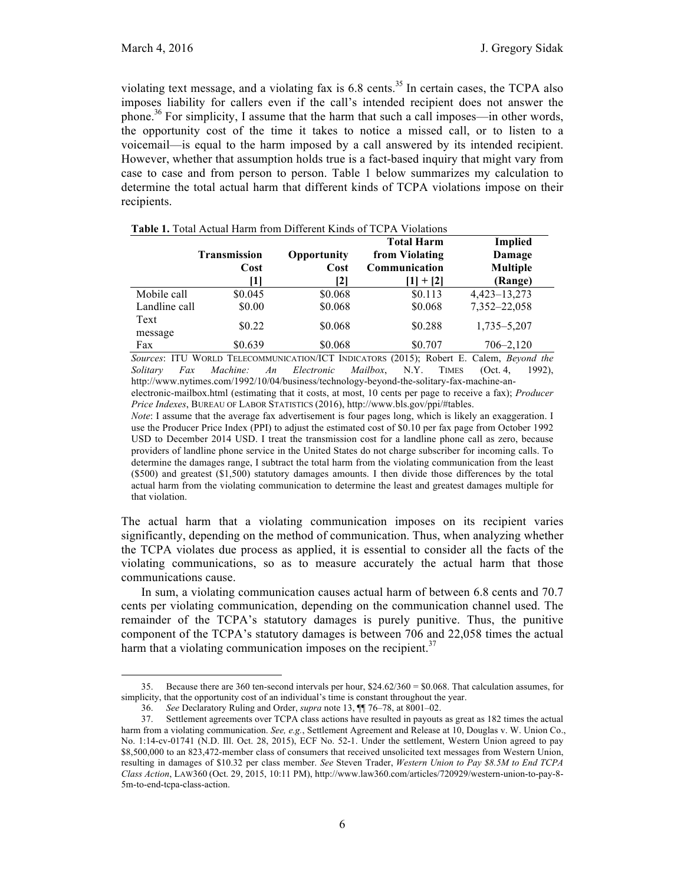violating text message, and a violating fax is 6.8 cents.<sup>35</sup> In certain cases, the TCPA also imposes liability for callers even if the call's intended recipient does not answer the phone.<sup>36</sup> For simplicity, I assume that the harm that such a call imposes—in other words, the opportunity cost of the time it takes to notice a missed call, or to listen to a voicemail—is equal to the harm imposed by a call answered by its intended recipient. However, whether that assumption holds true is a fact-based inquiry that might vary from case to case and from person to person. Table 1 below summarizes my calculation to determine the total actual harm that different kinds of TCPA violations impose on their recipients.

|                 |                     |             | <b>Total Harm</b> | <b>Implied</b>  |
|-----------------|---------------------|-------------|-------------------|-----------------|
|                 | <b>Transmission</b> | Opportunity | from Violating    | Damage          |
|                 | Cost                | Cost        | Communication     | <b>Multiple</b> |
|                 |                     | 121         | $+$ [2]           | (Range)         |
| Mobile call     | \$0.045             | \$0.068     | \$0.113           | 4,423-13,273    |
| Landline call   | \$0.00              | \$0.068     | \$0.068           | 7,352-22,058    |
| Text<br>message | \$0.22              | \$0.068     | \$0.288           | 1,735–5,207     |
| Fax             | \$0.639             | \$0.068     | \$0.707           | $706 - 2,120$   |

**Table 1.** Total Actual Harm from Different Kinds of TCPA Violations

*Sources*: ITU WORLD TELECOMMUNICATION/ICT INDICATORS (2015); Robert E. Calem, *Beyond the Solitary Fax Machine: An Electronic Mailbox*, N.Y. TIMES (Oct. 4, 1992), http://www.nytimes.com/1992/10/04/business/technology-beyond-the-solitary-fax-machine-anelectronic-mailbox.html (estimating that it costs, at most, 10 cents per page to receive a fax); *Producer Price Indexes*, BUREAU OF LABOR STATISTICS (2016), http://www.bls.gov/ppi/#tables.

*Note*: I assume that the average fax advertisement is four pages long, which is likely an exaggeration. I use the Producer Price Index (PPI) to adjust the estimated cost of \$0.10 per fax page from October 1992 USD to December 2014 USD. I treat the transmission cost for a landline phone call as zero, because providers of landline phone service in the United States do not charge subscriber for incoming calls. To determine the damages range, I subtract the total harm from the violating communication from the least (\$500) and greatest (\$1,500) statutory damages amounts. I then divide those differences by the total actual harm from the violating communication to determine the least and greatest damages multiple for that violation.

The actual harm that a violating communication imposes on its recipient varies significantly, depending on the method of communication. Thus, when analyzing whether the TCPA violates due process as applied, it is essential to consider all the facts of the violating communications, so as to measure accurately the actual harm that those communications cause.

In sum, a violating communication causes actual harm of between 6.8 cents and 70.7 cents per violating communication, depending on the communication channel used. The remainder of the TCPA's statutory damages is purely punitive. Thus, the punitive component of the TCPA's statutory damages is between 706 and 22,058 times the actual harm that a violating communication imposes on the recipient.<sup>37</sup>

 <sup>35.</sup> Because there are 360 ten-second intervals per hour, \$24.62/360 = \$0.068. That calculation assumes, for simplicity, that the opportunity cost of an individual's time is constant throughout the year.

<sup>36.</sup> *See* Declaratory Ruling and Order, *supra* note 13, ¶¶ 76–78, at 8001–02.

<sup>37.</sup> Settlement agreements over TCPA class actions have resulted in payouts as great as 182 times the actual harm from a violating communication. *See, e.g.*, Settlement Agreement and Release at 10, Douglas v. W. Union Co., No. 1:14-cv-01741 (N.D. Ill. Oct. 28, 2015), ECF No. 52-1. Under the settlement, Western Union agreed to pay \$8,500,000 to an 823,472-member class of consumers that received unsolicited text messages from Western Union, resulting in damages of \$10.32 per class member. *See* Steven Trader, *Western Union to Pay \$8.5M to End TCPA Class Action*, LAW360 (Oct. 29, 2015, 10:11 PM), http://www.law360.com/articles/720929/western-union-to-pay-8- 5m-to-end-tcpa-class-action.